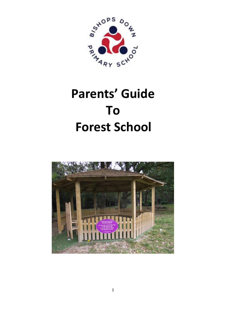

# **Parents' Guide To Forest School**

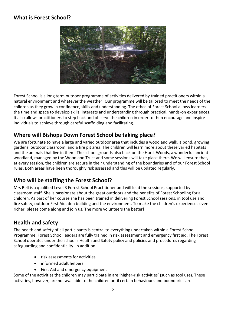### **What is Forest School?**



Forest School is a long term outdoor programme of activities delivered by trained practitioners within a natural environment and whatever the weather! Our programme will be tailored to meet the needs of the children as they grow in confidence, skills and understanding. The ethos of Forest School allows learners the time and space to develop skills, interests and understanding through practical, hands-on experiences. It also allows practitioners to step back and observe the children in order to then encourage and inspire individuals to achieve through careful scaffolding and facilitating.

## **Where will Bishops Down Forest School be taking place?**

We are fortunate to have a large and varied outdoor area that includes a woodland walk, a pond, growing gardens, outdoor classroom, and a fire pit area. The children will learn more about these varied habitats and the animals that live in them. The school grounds also back on the Hurst Woods, a wonderful ancient woodland, managed by the Woodland Trust and some sessions will take place there. We will ensure that, at every session, the children are secure in their understanding of the boundaries and of our Forest School rules. Both areas have been thoroughly risk assessed and this will be updated regularly.

# **Who will be staffing the Forest School?**

Mrs Bell is a qualified Level 3 Forest School Practitioner and will lead the sessions, supported by classroom staff. She is passionate about the great outdoors and the benefits of Forest Schooling for all children. As part of her course she has been trained in delivering Forest School sessions, in tool use and fire safety, outdoor First Aid, den building and the environment. To make the children's experiences even richer, please come along and join us. The more volunteers the better!

#### **Health and safety**

The health and safety of all participants is central to everything undertaken within a Forest School Programme. Forest School leaders are fully trained in risk assessment and emergency first aid. The Forest School operates under the school's Health and Safety policy and policies and procedures regarding safeguarding and confidentiality. In addition:

- risk assessments for activities
- informed adult helpers
- First Aid and emergency equipment

Some of the activities the children may participate in are 'higher-risk activities' (such as tool use). These activities, however, are not available to the children until certain behaviours and boundaries are